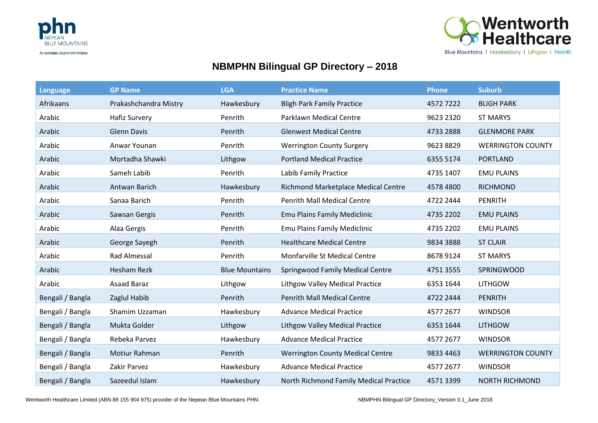



## **NBMPHN Bilingual GP Directory – 2018**

| <b>Language</b>  | <b>GP Name</b>        | <b>LGA</b>            | <b>Practice Name</b>                    | Phone     | <b>Suburb</b>            |
|------------------|-----------------------|-----------------------|-----------------------------------------|-----------|--------------------------|
| Afrikaans        | Prakashchandra Mistry | Hawkesbury            | <b>Bligh Park Family Practice</b>       | 45727222  | <b>BLIGH PARK</b>        |
| Arabic           | <b>Hafiz Survery</b>  | Penrith               | <b>Parklawn Medical Centre</b>          | 9623 2320 | <b>ST MARYS</b>          |
| Arabic           | <b>Glenn Davis</b>    | Penrith               | <b>Glenwest Medical Centre</b>          | 4733 2888 | <b>GLENMORE PARK</b>     |
| Arabic           | Anwar Younan          | Penrith               | <b>Werrington County Surgery</b>        | 9623 8829 | <b>WERRINGTON COUNTY</b> |
| Arabic           | Mortadha Shawki       | Lithgow               | <b>Portland Medical Practice</b>        | 6355 5174 | <b>PORTLAND</b>          |
| Arabic           | Sameh Labib           | Penrith               | Labib Family Practice                   | 4735 1407 | <b>EMU PLAINS</b>        |
| Arabic           | Antwan Barich         | Hawkesbury            | Richmond Marketplace Medical Centre     | 4578 4800 | <b>RICHMOND</b>          |
| Arabic           | Sanaa Barich          | Penrith               | <b>Penrith Mall Medical Centre</b>      | 4722 2444 | <b>PENRITH</b>           |
| Arabic           | Sawsan Gergis         | Penrith               | Emu Plains Family Mediclinic            | 4735 2202 | <b>EMU PLAINS</b>        |
| Arabic           | Alaa Gergis           | Penrith               | Emu Plains Family Mediclinic            | 4735 2202 | <b>EMU PLAINS</b>        |
| Arabic           | George Sayegh         | Penrith               | <b>Healthcare Medical Centre</b>        | 9834 3888 | <b>ST CLAIR</b>          |
| Arabic           | <b>Rad Almessal</b>   | Penrith               | Monfarville St Medical Centre           | 8678 9124 | <b>ST MARYS</b>          |
| Arabic           | <b>Hesham Rezk</b>    | <b>Blue Mountains</b> | <b>Springwood Family Medical Centre</b> | 4751 3555 | SPRINGWOOD               |
| Arabic           | <b>Asaad Baraz</b>    | Lithgow               | <b>Lithgow Valley Medical Practice</b>  | 6353 1644 | <b>LITHGOW</b>           |
| Bengali / Bangla | Zaglul Habib          | Penrith               | <b>Penrith Mall Medical Centre</b>      | 4722 2444 | <b>PENRITH</b>           |
| Bengali / Bangla | Shamim Uzzaman        | Hawkesbury            | <b>Advance Medical Practice</b>         | 4577 2677 | <b>WINDSOR</b>           |
| Bengali / Bangla | Mukta Golder          | Lithgow               | <b>Lithgow Valley Medical Practice</b>  | 6353 1644 | <b>LITHGOW</b>           |
| Bengali / Bangla | Rebeka Parvez         | Hawkesbury            | <b>Advance Medical Practice</b>         | 4577 2677 | <b>WINDSOR</b>           |
| Bengali / Bangla | Motiur Rahman         | Penrith               | <b>Werrington County Medical Centre</b> | 9833 4463 | <b>WERRINGTON COUNTY</b> |
| Bengali / Bangla | Zakir Parvez          | Hawkesbury            | <b>Advance Medical Practice</b>         | 4577 2677 | <b>WINDSOR</b>           |
| Bengali / Bangla | Sazeedul Islam        | Hawkesbury            | North Richmond Family Medical Practice  | 45713399  | <b>NORTH RICHMOND</b>    |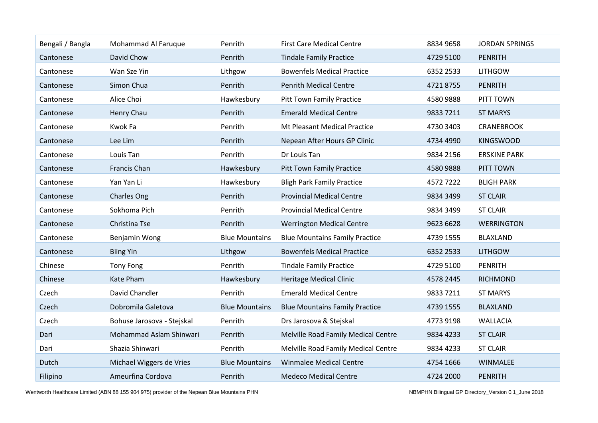| Bengali / Bangla | Mohammad Al Faruque        | Penrith               | <b>First Care Medical Centre</b>      | 8834 9658 | <b>JORDAN SPRINGS</b> |
|------------------|----------------------------|-----------------------|---------------------------------------|-----------|-----------------------|
| Cantonese        | David Chow                 | Penrith               | <b>Tindale Family Practice</b>        | 4729 5100 | <b>PENRITH</b>        |
| Cantonese        | Wan Sze Yin                | Lithgow               | <b>Bowenfels Medical Practice</b>     | 6352 2533 | <b>LITHGOW</b>        |
| Cantonese        | Simon Chua                 | Penrith               | <b>Penrith Medical Centre</b>         | 47218755  | <b>PENRITH</b>        |
| Cantonese        | Alice Choi                 | Hawkesbury            | <b>Pitt Town Family Practice</b>      | 4580 9888 | PITT TOWN             |
| Cantonese        | Henry Chau                 | Penrith               | <b>Emerald Medical Centre</b>         | 9833 7211 | <b>ST MARYS</b>       |
| Cantonese        | Kwok Fa                    | Penrith               | Mt Pleasant Medical Practice          | 4730 3403 | <b>CRANEBROOK</b>     |
| Cantonese        | Lee Lim                    | Penrith               | Nepean After Hours GP Clinic          | 4734 4990 | <b>KINGSWOOD</b>      |
| Cantonese        | Louis Tan                  | Penrith               | Dr Louis Tan                          | 9834 2156 | <b>ERSKINE PARK</b>   |
| Cantonese        | Francis Chan               | Hawkesbury            | <b>Pitt Town Family Practice</b>      | 4580 9888 | PITT TOWN             |
| Cantonese        | Yan Yan Li                 | Hawkesbury            | <b>Bligh Park Family Practice</b>     | 45727222  | <b>BLIGH PARK</b>     |
| Cantonese        | <b>Charles Ong</b>         | Penrith               | <b>Provincial Medical Centre</b>      | 9834 3499 | <b>ST CLAIR</b>       |
| Cantonese        | Sokhoma Pich               | Penrith               | <b>Provincial Medical Centre</b>      | 9834 3499 | <b>ST CLAIR</b>       |
| Cantonese        | Christina Tse              | Penrith               | <b>Werrington Medical Centre</b>      | 9623 6628 | <b>WERRINGTON</b>     |
| Cantonese        | Benjamin Wong              | <b>Blue Mountains</b> | <b>Blue Mountains Family Practice</b> | 4739 1555 | <b>BLAXLAND</b>       |
| Cantonese        | <b>Biing Yin</b>           | Lithgow               | <b>Bowenfels Medical Practice</b>     | 6352 2533 | <b>LITHGOW</b>        |
| Chinese          | <b>Tony Fong</b>           | Penrith               | <b>Tindale Family Practice</b>        | 4729 5100 | PENRITH               |
| Chinese          | Kate Pham                  | Hawkesbury            | <b>Heritage Medical Clinic</b>        | 4578 2445 | <b>RICHMOND</b>       |
| Czech            | David Chandler             | Penrith               | <b>Emerald Medical Centre</b>         | 9833 7211 | <b>ST MARYS</b>       |
| Czech            | Dobromila Galetova         | <b>Blue Mountains</b> | <b>Blue Mountains Family Practice</b> | 4739 1555 | <b>BLAXLAND</b>       |
| Czech            | Bohuse Jarosova - Stejskal | Penrith               | Drs Jarosova & Stejskal               | 4773 9198 | <b>WALLACIA</b>       |
| Dari             | Mohammad Aslam Shinwari    | Penrith               | Melville Road Family Medical Centre   | 9834 4233 | <b>ST CLAIR</b>       |
| Dari             | Shazia Shinwari            | Penrith               | Melville Road Family Medical Centre   | 9834 4233 | <b>ST CLAIR</b>       |
| Dutch            | Michael Wiggers de Vries   | <b>Blue Mountains</b> | <b>Winmalee Medical Centre</b>        | 4754 1666 | <b>WINMALEE</b>       |
| Filipino         | Ameurfina Cordova          | Penrith               | <b>Medeco Medical Centre</b>          | 4724 2000 | <b>PENRITH</b>        |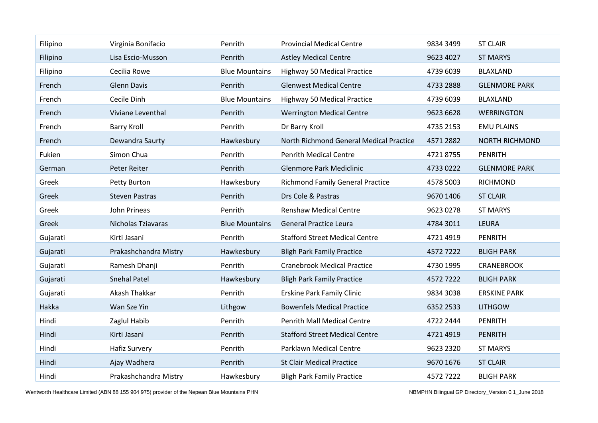| Filipino | Virginia Bonifacio    | Penrith               | <b>Provincial Medical Centre</b>        | 9834 3499 | <b>ST CLAIR</b>       |
|----------|-----------------------|-----------------------|-----------------------------------------|-----------|-----------------------|
| Filipino | Lisa Escio-Musson     | Penrith               | <b>Astley Medical Centre</b>            | 9623 4027 | <b>ST MARYS</b>       |
| Filipino | Cecilia Rowe          | <b>Blue Mountains</b> | <b>Highway 50 Medical Practice</b>      | 4739 6039 | <b>BLAXLAND</b>       |
| French   | <b>Glenn Davis</b>    | Penrith               | <b>Glenwest Medical Centre</b>          | 4733 2888 | <b>GLENMORE PARK</b>  |
| French   | Cecile Dinh           | <b>Blue Mountains</b> | <b>Highway 50 Medical Practice</b>      | 4739 6039 | <b>BLAXLAND</b>       |
| French   | Viviane Leventhal     | Penrith               | <b>Werrington Medical Centre</b>        | 9623 6628 | <b>WERRINGTON</b>     |
| French   | <b>Barry Kroll</b>    | Penrith               | Dr Barry Kroll                          | 4735 2153 | <b>EMU PLAINS</b>     |
| French   | Dewandra Saurty       | Hawkesbury            | North Richmond General Medical Practice | 4571 2882 | <b>NORTH RICHMOND</b> |
| Fukien   | Simon Chua            | Penrith               | <b>Penrith Medical Centre</b>           | 47218755  | <b>PENRITH</b>        |
| German   | Peter Reiter          | Penrith               | <b>Glenmore Park Mediclinic</b>         | 4733 0222 | <b>GLENMORE PARK</b>  |
| Greek    | Petty Burton          | Hawkesbury            | <b>Richmond Family General Practice</b> | 4578 5003 | <b>RICHMOND</b>       |
| Greek    | <b>Steven Pastras</b> | Penrith               | Drs Cole & Pastras                      | 9670 1406 | <b>ST CLAIR</b>       |
| Greek    | John Prineas          | Penrith               | <b>Renshaw Medical Centre</b>           | 9623 0278 | <b>ST MARYS</b>       |
| Greek    | Nicholas Tziavaras    | <b>Blue Mountains</b> | <b>General Practice Leura</b>           | 4784 3011 | LEURA                 |
| Gujarati | Kirti Jasani          | Penrith               | <b>Stafford Street Medical Centre</b>   | 4721 4919 | <b>PENRITH</b>        |
| Gujarati | Prakashchandra Mistry | Hawkesbury            | <b>Bligh Park Family Practice</b>       | 45727222  | <b>BLIGH PARK</b>     |
| Gujarati | Ramesh Dhanji         | Penrith               | <b>Cranebrook Medical Practice</b>      | 4730 1995 | <b>CRANEBROOK</b>     |
| Gujarati | <b>Snehal Patel</b>   | Hawkesbury            | <b>Bligh Park Family Practice</b>       | 45727222  | <b>BLIGH PARK</b>     |
| Gujarati | Akash Thakkar         | Penrith               | <b>Erskine Park Family Clinic</b>       | 9834 3038 | <b>ERSKINE PARK</b>   |
| Hakka    | Wan Sze Yin           | Lithgow               | <b>Bowenfels Medical Practice</b>       | 6352 2533 | <b>LITHGOW</b>        |
| Hindi    | Zaglul Habib          | Penrith               | <b>Penrith Mall Medical Centre</b>      | 4722 2444 | <b>PENRITH</b>        |
| Hindi    | Kirti Jasani          | Penrith               | <b>Stafford Street Medical Centre</b>   | 4721 4919 | <b>PENRITH</b>        |
| Hindi    | <b>Hafiz Survery</b>  | Penrith               | Parklawn Medical Centre                 | 9623 2320 | <b>ST MARYS</b>       |
| Hindi    | Ajay Wadhera          | Penrith               | <b>St Clair Medical Practice</b>        | 9670 1676 | <b>ST CLAIR</b>       |
| Hindi    | Prakashchandra Mistry | Hawkesbury            | <b>Bligh Park Family Practice</b>       | 45727222  | <b>BLIGH PARK</b>     |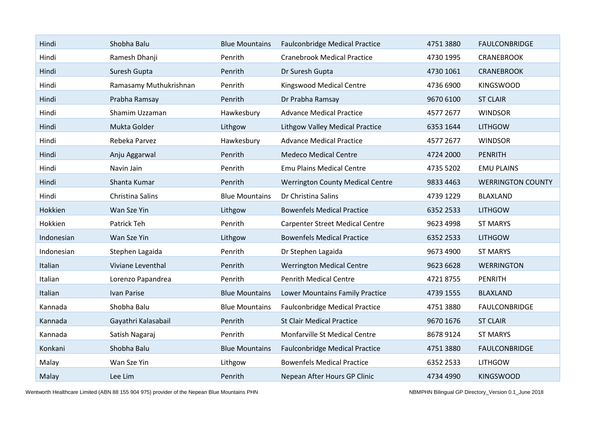| Hindi      | Shobha Balu            | <b>Blue Mountains</b> | <b>Faulconbridge Medical Practice</b>   | 4751 3880 | <b>FAULCONBRIDGE</b>     |
|------------|------------------------|-----------------------|-----------------------------------------|-----------|--------------------------|
| Hindi      | Ramesh Dhanji          | Penrith               | <b>Cranebrook Medical Practice</b>      | 4730 1995 | <b>CRANEBROOK</b>        |
| Hindi      | Suresh Gupta           | Penrith               | Dr Suresh Gupta                         | 4730 1061 | <b>CRANEBROOK</b>        |
| Hindi      | Ramasamy Muthukrishnan | Penrith               | <b>Kingswood Medical Centre</b>         | 4736 6900 | <b>KINGSWOOD</b>         |
| Hindi      | Prabha Ramsay          | Penrith               | Dr Prabha Ramsay                        | 9670 6100 | <b>ST CLAIR</b>          |
| Hindi      | Shamim Uzzaman         | Hawkesbury            | <b>Advance Medical Practice</b>         | 4577 2677 | <b>WINDSOR</b>           |
| Hindi      | Mukta Golder           | Lithgow               | <b>Lithgow Valley Medical Practice</b>  | 6353 1644 | <b>LITHGOW</b>           |
| Hindi      | Rebeka Parvez          | Hawkesbury            | <b>Advance Medical Practice</b>         | 4577 2677 | <b>WINDSOR</b>           |
| Hindi      | Anju Aggarwal          | Penrith               | <b>Medeco Medical Centre</b>            | 4724 2000 | <b>PENRITH</b>           |
| Hindi      | Navin Jain             | Penrith               | <b>Emu Plains Medical Centre</b>        | 4735 5202 | <b>EMU PLAINS</b>        |
| Hindi      | Shanta Kumar           | Penrith               | <b>Werrington County Medical Centre</b> | 9833 4463 | <b>WERRINGTON COUNTY</b> |
| Hindi      | Christina Salins       | <b>Blue Mountains</b> | Dr Christina Salins                     | 4739 1229 | <b>BLAXLAND</b>          |
| Hokkien    | Wan Sze Yin            | Lithgow               | <b>Bowenfels Medical Practice</b>       | 6352 2533 | <b>LITHGOW</b>           |
| Hokkien    | Patrick Teh            | Penrith               | <b>Carpenter Street Medical Centre</b>  | 9623 4998 | <b>ST MARYS</b>          |
| Indonesian | Wan Sze Yin            | Lithgow               | <b>Bowenfels Medical Practice</b>       | 6352 2533 | <b>LITHGOW</b>           |
| Indonesian | Stephen Lagaida        | Penrith               | Dr Stephen Lagaida                      | 9673 4900 | <b>ST MARYS</b>          |
| Italian    | Viviane Leventhal      | Penrith               | <b>Werrington Medical Centre</b>        | 9623 6628 | <b>WERRINGTON</b>        |
| Italian    | Lorenzo Papandrea      | Penrith               | <b>Penrith Medical Centre</b>           | 47218755  | <b>PENRITH</b>           |
| Italian    | Ivan Parise            | <b>Blue Mountains</b> | Lower Mountains Family Practice         | 4739 1555 | <b>BLAXLAND</b>          |
| Kannada    | Shobha Balu            | <b>Blue Mountains</b> | <b>Faulconbridge Medical Practice</b>   | 47513880  | <b>FAULCONBRIDGE</b>     |
| Kannada    | Gayathri Kalasabail    | Penrith               | <b>St Clair Medical Practice</b>        | 9670 1676 | <b>ST CLAIR</b>          |
| Kannada    | Satish Nagaraj         | Penrith               | Monfarville St Medical Centre           | 8678 9124 | <b>ST MARYS</b>          |
| Konkani    | Shobha Balu            | <b>Blue Mountains</b> | <b>Faulconbridge Medical Practice</b>   | 47513880  | <b>FAULCONBRIDGE</b>     |
| Malay      | Wan Sze Yin            | Lithgow               | <b>Bowenfels Medical Practice</b>       | 6352 2533 | <b>LITHGOW</b>           |
| Malay      | Lee Lim                | Penrith               | Nepean After Hours GP Clinic            | 4734 4990 | <b>KINGSWOOD</b>         |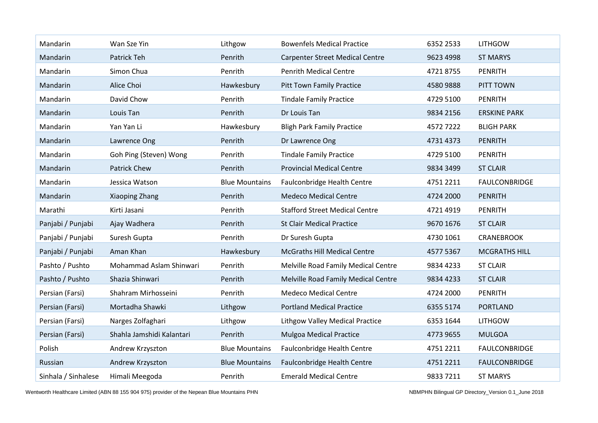| Mandarin            | Wan Sze Yin               | Lithgow               | <b>Bowenfels Medical Practice</b>      | 6352 2533 | <b>LITHGOW</b>       |
|---------------------|---------------------------|-----------------------|----------------------------------------|-----------|----------------------|
| Mandarin            | Patrick Teh               | Penrith               | <b>Carpenter Street Medical Centre</b> | 9623 4998 | <b>ST MARYS</b>      |
| Mandarin            | Simon Chua                | Penrith               | <b>Penrith Medical Centre</b>          | 47218755  | PENRITH              |
| Mandarin            | Alice Choi                | Hawkesbury            | <b>Pitt Town Family Practice</b>       | 4580 9888 | PITT TOWN            |
| Mandarin            | David Chow                | Penrith               | <b>Tindale Family Practice</b>         | 4729 5100 | PENRITH              |
| Mandarin            | Louis Tan                 | Penrith               | Dr Louis Tan                           | 9834 2156 | <b>ERSKINE PARK</b>  |
| Mandarin            | Yan Yan Li                | Hawkesbury            | <b>Bligh Park Family Practice</b>      | 45727222  | <b>BLIGH PARK</b>    |
| Mandarin            | Lawrence Ong              | Penrith               | Dr Lawrence Ong                        | 4731 4373 | <b>PENRITH</b>       |
| Mandarin            | Goh Ping (Steven) Wong    | Penrith               | <b>Tindale Family Practice</b>         | 4729 5100 | PENRITH              |
| Mandarin            | Patrick Chew              | Penrith               | <b>Provincial Medical Centre</b>       | 9834 3499 | <b>ST CLAIR</b>      |
| Mandarin            | Jessica Watson            | <b>Blue Mountains</b> | Faulconbridge Health Centre            | 4751 2211 | <b>FAULCONBRIDGE</b> |
| Mandarin            | Xiaoping Zhang            | Penrith               | <b>Medeco Medical Centre</b>           | 4724 2000 | <b>PENRITH</b>       |
| Marathi             | Kirti Jasani              | Penrith               | <b>Stafford Street Medical Centre</b>  | 4721 4919 | <b>PENRITH</b>       |
| Panjabi / Punjabi   | Ajay Wadhera              | Penrith               | <b>St Clair Medical Practice</b>       | 9670 1676 | <b>ST CLAIR</b>      |
| Panjabi / Punjabi   | Suresh Gupta              | Penrith               | Dr Suresh Gupta                        | 4730 1061 | <b>CRANEBROOK</b>    |
| Panjabi / Punjabi   | Aman Khan                 | Hawkesbury            | <b>McGraths Hill Medical Centre</b>    | 4577 5367 | <b>MCGRATHS HILL</b> |
| Pashto / Pushto     | Mohammad Aslam Shinwari   | Penrith               | Melville Road Family Medical Centre    | 9834 4233 | <b>ST CLAIR</b>      |
| Pashto / Pushto     | Shazia Shinwari           | Penrith               | Melville Road Family Medical Centre    | 9834 4233 | <b>ST CLAIR</b>      |
| Persian (Farsi)     | Shahram Mirhosseini       | Penrith               | <b>Medeco Medical Centre</b>           | 4724 2000 | PENRITH              |
| Persian (Farsi)     | Mortadha Shawki           | Lithgow               | <b>Portland Medical Practice</b>       | 6355 5174 | <b>PORTLAND</b>      |
| Persian (Farsi)     | Narges Zolfaghari         | Lithgow               | <b>Lithgow Valley Medical Practice</b> | 6353 1644 | <b>LITHGOW</b>       |
| Persian (Farsi)     | Shahla Jamshidi Kalantari | Penrith               | <b>Mulgoa Medical Practice</b>         | 4773 9655 | <b>MULGOA</b>        |
| Polish              | Andrew Krzyszton          | <b>Blue Mountains</b> | Faulconbridge Health Centre            | 4751 2211 | <b>FAULCONBRIDGE</b> |
| Russian             | Andrew Krzyszton          | <b>Blue Mountains</b> | Faulconbridge Health Centre            | 4751 2211 | <b>FAULCONBRIDGE</b> |
| Sinhala / Sinhalese | Himali Meegoda            | Penrith               | <b>Emerald Medical Centre</b>          | 9833 7211 | <b>ST MARYS</b>      |